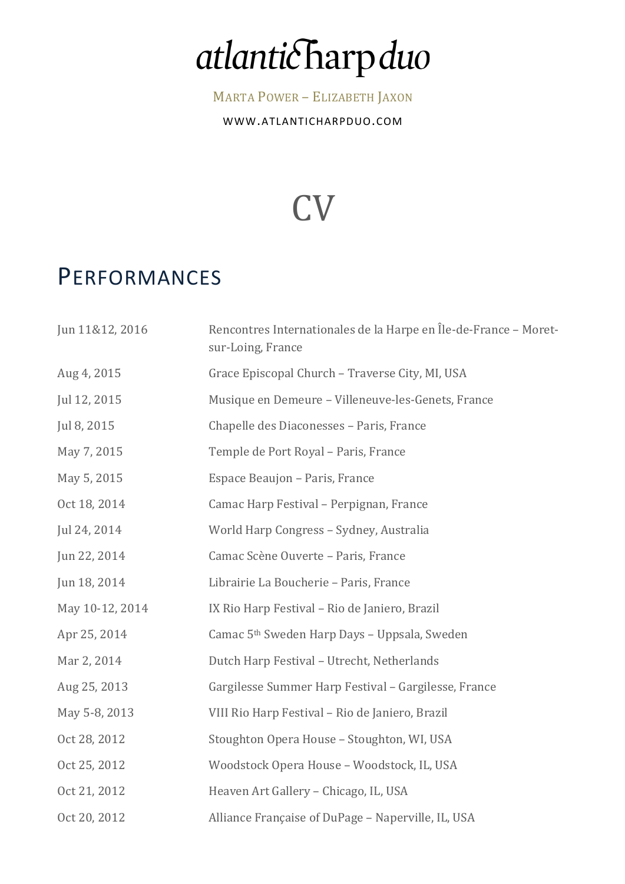# atlanticharpduo

MARTA POWER - ELIZABETH JAXON

WWW.ATLANTICHARPDUO.COM

## CV

#### PERFORMANCES

| Jun 11&12, 2016 | Rencontres Internationales de la Harpe en Île-de-France - Moret-<br>sur-Loing, France |
|-----------------|---------------------------------------------------------------------------------------|
| Aug 4, 2015     | Grace Episcopal Church - Traverse City, MI, USA                                       |
| Jul 12, 2015    | Musique en Demeure - Villeneuve-les-Genets, France                                    |
| Jul 8, 2015     | Chapelle des Diaconesses - Paris, France                                              |
| May 7, 2015     | Temple de Port Royal - Paris, France                                                  |
| May 5, 2015     | Espace Beaujon - Paris, France                                                        |
| Oct 18, 2014    | Camac Harp Festival - Perpignan, France                                               |
| Jul 24, 2014    | World Harp Congress - Sydney, Australia                                               |
| Jun 22, 2014    | Camac Scène Ouverte - Paris, France                                                   |
| Jun 18, 2014    | Librairie La Boucherie - Paris, France                                                |
| May 10-12, 2014 | IX Rio Harp Festival - Rio de Janiero, Brazil                                         |
| Apr 25, 2014    | Camac 5 <sup>th</sup> Sweden Harp Days - Uppsala, Sweden                              |
| Mar 2, 2014     | Dutch Harp Festival - Utrecht, Netherlands                                            |
| Aug 25, 2013    | Gargilesse Summer Harp Festival - Gargilesse, France                                  |
| May 5-8, 2013   | VIII Rio Harp Festival - Rio de Janiero, Brazil                                       |
| Oct 28, 2012    | Stoughton Opera House - Stoughton, WI, USA                                            |
| Oct 25, 2012    | Woodstock Opera House - Woodstock, IL, USA                                            |
| Oct 21, 2012    | Heaven Art Gallery - Chicago, IL, USA                                                 |
| Oct 20, 2012    | Alliance Française of DuPage - Naperville, IL, USA                                    |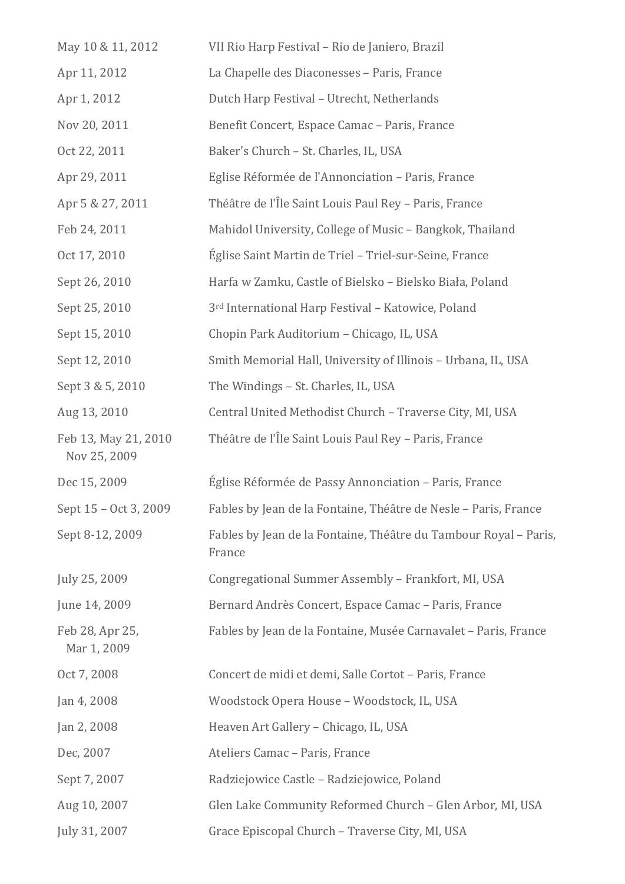| May 10 & 11, 2012                    | VII Rio Harp Festival - Rio de Janiero, Brazil                             |
|--------------------------------------|----------------------------------------------------------------------------|
| Apr 11, 2012                         | La Chapelle des Diaconesses - Paris, France                                |
| Apr 1, 2012                          | Dutch Harp Festival - Utrecht, Netherlands                                 |
| Nov 20, 2011                         | Benefit Concert, Espace Camac - Paris, France                              |
| Oct 22, 2011                         | Baker's Church - St. Charles, IL, USA                                      |
| Apr 29, 2011                         | Eglise Réformée de l'Annonciation - Paris, France                          |
| Apr 5 & 27, 2011                     | Théâtre de l'Île Saint Louis Paul Rey - Paris, France                      |
| Feb 24, 2011                         | Mahidol University, College of Music - Bangkok, Thailand                   |
| Oct 17, 2010                         | Église Saint Martin de Triel - Triel-sur-Seine, France                     |
| Sept 26, 2010                        | Harfa w Zamku, Castle of Bielsko - Bielsko Biała, Poland                   |
| Sept 25, 2010                        | 3 <sup>rd</sup> International Harp Festival - Katowice, Poland             |
| Sept 15, 2010                        | Chopin Park Auditorium - Chicago, IL, USA                                  |
| Sept 12, 2010                        | Smith Memorial Hall, University of Illinois - Urbana, IL, USA              |
| Sept 3 & 5, 2010                     | The Windings - St. Charles, IL, USA                                        |
| Aug 13, 2010                         | Central United Methodist Church - Traverse City, MI, USA                   |
| Feb 13, May 21, 2010<br>Nov 25, 2009 | Théâtre de l'Île Saint Louis Paul Rey - Paris, France                      |
| Dec 15, 2009                         | Église Réformée de Passy Annonciation - Paris, France                      |
| Sept 15 - Oct 3, 2009                | Fables by Jean de la Fontaine, Théâtre de Nesle - Paris, France            |
| Sept 8-12, 2009                      | Fables by Jean de la Fontaine, Théâtre du Tambour Royal - Paris,<br>France |
| July 25, 2009                        | Congregational Summer Assembly - Frankfort, MI, USA                        |
| June 14, 2009                        | Bernard Andrès Concert, Espace Camac - Paris, France                       |
| Feb 28, Apr 25,<br>Mar 1, 2009       | Fables by Jean de la Fontaine, Musée Carnavalet - Paris, France            |
| Oct 7, 2008                          | Concert de midi et demi, Salle Cortot - Paris, France                      |
| Jan 4, 2008                          | Woodstock Opera House - Woodstock, IL, USA                                 |
| Jan 2, 2008                          | Heaven Art Gallery - Chicago, IL, USA                                      |
| Dec, 2007                            | Ateliers Camac - Paris, France                                             |
| Sept 7, 2007                         | Radziejowice Castle - Radziejowice, Poland                                 |
| Aug 10, 2007                         | Glen Lake Community Reformed Church - Glen Arbor, MI, USA                  |
| July 31, 2007                        | Grace Episcopal Church - Traverse City, MI, USA                            |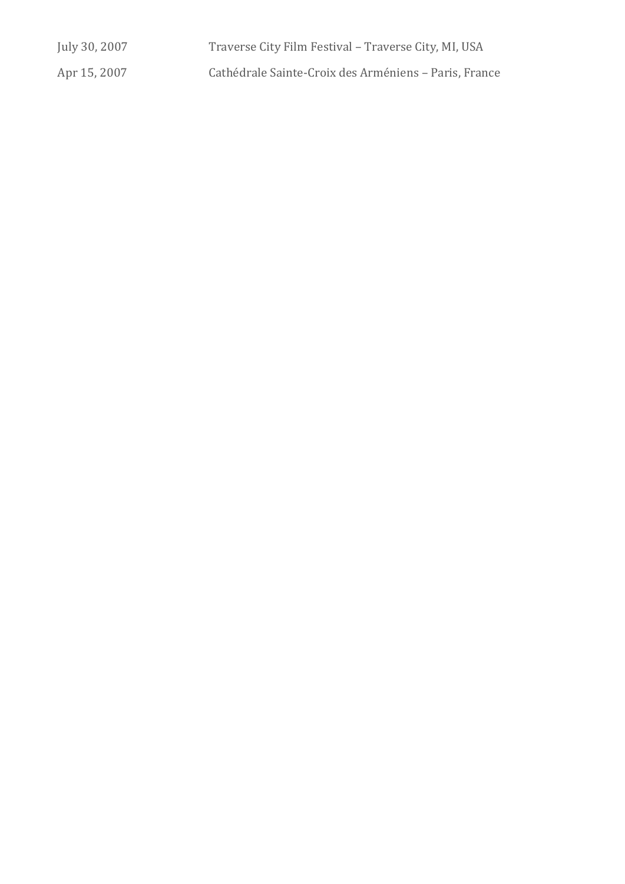| July 30, 2007 | Traverse City Film Festival - Traverse City, MI, USA  |
|---------------|-------------------------------------------------------|
| Apr 15, 2007  | Cathédrale Sainte-Croix des Arméniens - Paris, France |